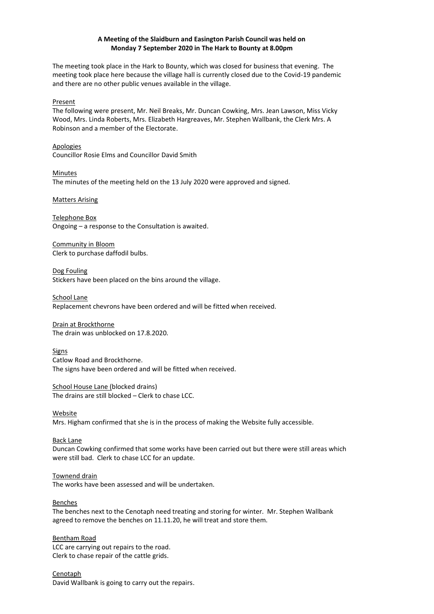# **A Meeting of the Slaidburn and Easington Parish Council was held on Monday 7 September 2020 in The Hark to Bounty at 8.00pm**

The meeting took place in the Hark to Bounty, which was closed for business that evening. The meeting took place here because the village hall is currently closed due to the Covid-19 pandemic and there are no other public venues available in the village.

### Present

The following were present, Mr. Neil Breaks, Mr. Duncan Cowking, Mrs. Jean Lawson, Miss Vicky Wood, Mrs. Linda Roberts, Mrs. Elizabeth Hargreaves, Mr. Stephen Wallbank, the Clerk Mrs. A Robinson and a member of the Electorate.

Apologies Councillor Rosie Elms and Councillor David Smith

Minutes The minutes of the meeting held on the 13 July 2020 were approved and signed.

### Matters Arising

Telephone Box Ongoing – a response to the Consultation is awaited.

Community in Bloom Clerk to purchase daffodil bulbs.

Dog Fouling Stickers have been placed on the bins around the village.

School Lane Replacement chevrons have been ordered and will be fitted when received.

Drain at Brockthorne The drain was unblocked on 17.8.2020.

Signs Catlow Road and Brockthorne. The signs have been ordered and will be fitted when received.

School House Lane (blocked drains) The drains are still blocked – Clerk to chase LCC.

Website Mrs. Higham confirmed that she is in the process of making the Website fully accessible.

#### Back Lane

Duncan Cowking confirmed that some works have been carried out but there were still areas which were still bad. Clerk to chase LCC for an update.

#### Townend drain

The works have been assessed and will be undertaken.

#### Benches

The benches next to the Cenotaph need treating and storing for winter. Mr. Stephen Wallbank agreed to remove the benches on 11.11.20, he will treat and store them.

#### Bentham Road

LCC are carrying out repairs to the road. Clerk to chase repair of the cattle grids.

**Cenotaph** David Wallbank is going to carry out the repairs.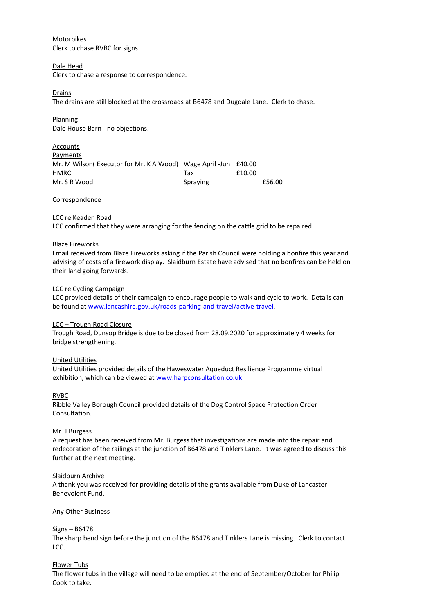## Motorbikes

Clerk to chase RVBC for signs.

### Dale Head

Clerk to chase a response to correspondence.

## Drains

The drains are still blocked at the crossroads at B6478 and Dugdale Lane. Clerk to chase.

Planning Dale House Barn - no objections.

| Accounts                                                       |          |        |        |
|----------------------------------------------------------------|----------|--------|--------|
| Payments                                                       |          |        |        |
| Mr. M Wilson(Executor for Mr. K A Wood) Wage April -Jun £40.00 |          |        |        |
| HMRC                                                           | Тах      | £10.00 |        |
| Mr. S R Wood                                                   | Spraying |        | £56.00 |

#### Correspondence

### LCC re Keaden Road

LCC confirmed that they were arranging for the fencing on the cattle grid to be repaired.

#### Blaze Fireworks

Email received from Blaze Fireworks asking if the Parish Council were holding a bonfire this year and advising of costs of a firework display. Slaidburn Estate have advised that no bonfires can be held on their land going forwards.

### LCC re Cycling Campaign

LCC provided details of their campaign to encourage people to walk and cycle to work. Details can be found at [www.lancashire.gov.uk/roads-parking-and-travel/active-travel.](http://www.lancashire.gov.uk/roads-parking-and-travel/active-travel)

## LCC – Trough Road Closure

Trough Road, Dunsop Bridge is due to be closed from 28.09.2020 for approximately 4 weeks for bridge strengthening.

#### United Utilities

United Utilities provided details of the Haweswater Aqueduct Resilience Programme virtual exhibition, which can be viewed a[t www.harpconsultation.co.uk.](http://www.harpconsultation.co.uk/)

#### RVBC

Ribble Valley Borough Council provided details of the Dog Control Space Protection Order Consultation.

#### Mr. J Burgess

A request has been received from Mr. Burgess that investigations are made into the repair and redecoration of the railings at the junction of B6478 and Tinklers Lane. It was agreed to discuss this further at the next meeting.

#### Slaidburn Archive

A thank you was received for providing details of the grants available from Duke of Lancaster Benevolent Fund.

### Any Other Business

#### Signs – B6478

The sharp bend sign before the junction of the B6478 and Tinklers Lane is missing. Clerk to contact LCC.

#### Flower Tubs

The flower tubs in the village will need to be emptied at the end of September/October for Philip Cook to take.